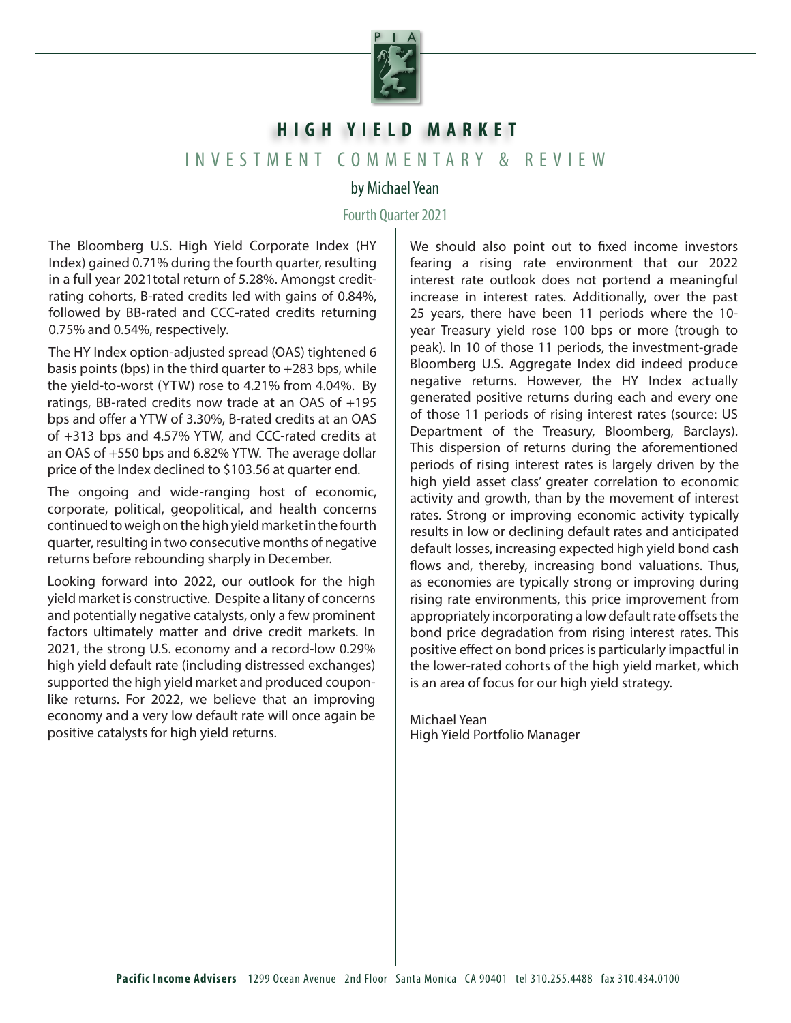

## **HIGH YIELD MARKET**

## INVESTMENT COMMENTARY & REVIEW

## by Michael Yean

## Fourth Quarter 2021

The Bloomberg U.S. High Yield Corporate Index (HY Index) gained 0.71% during the fourth quarter, resulting in a full year 2021total return of 5.28%. Amongst creditrating cohorts, B-rated credits led with gains of 0.84%, followed by BB-rated and CCC-rated credits returning 0.75% and 0.54%, respectively.

The HY Index option-adjusted spread (OAS) tightened 6 basis points (bps) in the third quarter to +283 bps, while the yield-to-worst (YTW) rose to 4.21% from 4.04%. By ratings, BB-rated credits now trade at an OAS of +195 bps and offer a YTW of 3.30%, B-rated credits at an OAS of +313 bps and 4.57% YTW, and CCC-rated credits at an OAS of +550 bps and 6.82% YTW. The average dollar price of the Index declined to \$103.56 at quarter end.

The ongoing and wide-ranging host of economic, corporate, political, geopolitical, and health concerns continued to weigh on the high yield market in the fourth quarter, resulting in two consecutive months of negative returns before rebounding sharply in December.

Looking forward into 2022, our outlook for the high yield market is constructive. Despite a litany of concerns and potentially negative catalysts, only a few prominent factors ultimately matter and drive credit markets. In 2021, the strong U.S. economy and a record-low 0.29% high yield default rate (including distressed exchanges) supported the high yield market and produced couponlike returns. For 2022, we believe that an improving economy and a very low default rate will once again be positive catalysts for high yield returns.

We should also point out to fixed income investors fearing a rising rate environment that our 2022 interest rate outlook does not portend a meaningful increase in interest rates. Additionally, over the past 25 years, there have been 11 periods where the 10 year Treasury yield rose 100 bps or more (trough to peak). In 10 of those 11 periods, the investment-grade Bloomberg U.S. Aggregate Index did indeed produce negative returns. However, the HY Index actually generated positive returns during each and every one of those 11 periods of rising interest rates (source: US Department of the Treasury, Bloomberg, Barclays). This dispersion of returns during the aforementioned periods of rising interest rates is largely driven by the high yield asset class' greater correlation to economic activity and growth, than by the movement of interest rates. Strong or improving economic activity typically results in low or declining default rates and anticipated default losses, increasing expected high yield bond cash flows and, thereby, increasing bond valuations. Thus, as economies are typically strong or improving during rising rate environments, this price improvement from appropriately incorporating a low default rate offsets the bond price degradation from rising interest rates. This positive effect on bond prices is particularly impactful in the lower-rated cohorts of the high yield market, which is an area of focus for our high yield strategy.

Michael Yean High Yield Portfolio Manager